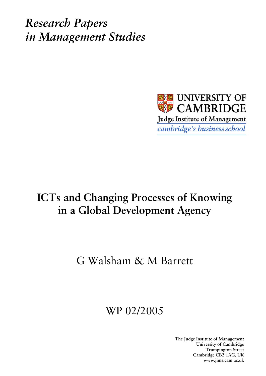*Research Papers in Management Studies*



# **ICTs and Changing Processes of Knowing in a Global Development Agency**

# G Walsham & M Barrett

# WP 02/2005

**The Judge Institute of Management University of Cambridge Trumpington Street Cambridge CB2 1AG, UK www.jims.cam.ac.uk**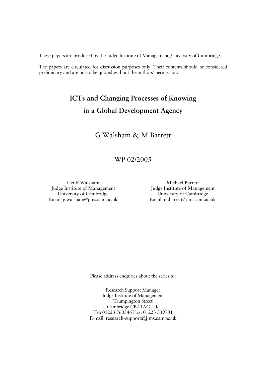These papers are produced by the Judge Institute of Management, University of Cambridge.

The papers are circulated for discussion purposes only. Their contents should be considered preliminary and are not to be quoted without the authors' permission.

## **ICTs and Changing Processes of Knowing in a Global Development Agency**

## G Walsham & M Barrett

### WP 02/2005

Geoff Walsham Judge Institute of Management University of Cambridge Email: g.walsham@jims.cam.ac.uk

Michael Barrett Judge Institute of Management University of Cambridge Email: m.barrett@jims.cam.ac.uk

Please address enquiries about the series to:

Research Support Manager Judge Institute of Management Trumpington Street Cambridge CB2 1AG, UK Tel: 01223 760546 Fax: 01223 339701 E-mail: research-support@jims.cam.ac.uk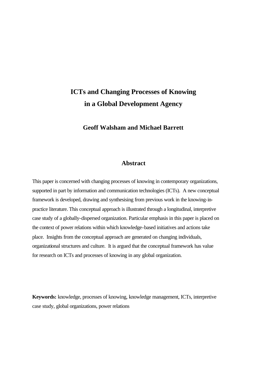## **ICTs and Changing Processes of Knowing in a Global Development Agency**

**Geoff Walsham and Michael Barrett**

#### **Abstract**

This paper is concerned with changing processes of knowing in contemporary organizations, supported in part by information and communication technologies (ICTs). A new conceptual framework is developed, drawing and synthesising from previous work in the knowing-inpractice literature. This conceptual approach is illustrated through a longitudinal, interpretive case study of a globally-dispersed organization. Particular emphasis in this paper is placed on the context of power relations within which knowledge-based initiatives and actions take place. Insights from the conceptual approach are generated on changing individuals, organizational structures and culture. It is argued that the conceptual framework has value for research on ICTs and processes of knowing in any global organization.

**Keywords:** knowledge, processes of knowing, knowledge management, ICTs, interpretive case study, global organizations, power relations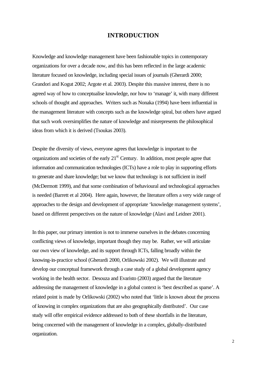#### **INTRODUCTION**

Knowledge and knowledge management have been fashionable topics in contemporary organizations for over a decade now, and this has been reflected in the large academic literature focused on knowledge, including special issues of journals (Gherardi 2000; Grandori and Kogut 2002; Argote et al. 2003). Despite this massive interest, there is no agreed way of how to conceptualise knowledge, nor how to 'manage' it, with many different schools of thought and approaches. Writers such as Nonaka (1994) have been influential in the management literature with concepts such as the knowledge spiral, but others have argued that such work oversimplifies the nature of knowledge and misrepresents the philosophical ideas from which it is derived (Tsoukas 2003).

Despite the diversity of views, everyone agrees that knowledge is important to the organizations and societies of the early  $21<sup>st</sup>$  Century. In addition, most people agree that information and communication technologies (ICTs) have a role to play in supporting efforts to generate and share knowledge; but we know that technology is not sufficient in itself (McDermott 1999), and that some combination of behavioural and technological approaches is needed (Barrett et al 2004). Here again, however, the literature offers a very wide range of approaches to the design and development of appropriate 'knowledge management systems', based on different perspectives on the nature of knowledge (Alavi and Leidner 2001).

In this paper, our primary intention is not to immerse ourselves in the debates concerning conflicting views of knowledge, important though they may be. Rather, we will articulate our own view of knowledge, and its support through ICTs, falling broadly within the knowing-in-practice school (Gherardi 2000, Orlikowski 2002). We will illustrate and develop our conceptual framework through a case study of a global development agency working in the health sector. Desouza and Evaristo (2003) argued that the literature addressing the management of knowledge in a global context is 'best described as sparse'. A related point is made by Orlikowski (2002) who noted that 'little is known about the process of knowing in complex organizations that are also geographically distributed'. Our case study will offer empirical evidence addressed to both of these shortfalls in the literature, being concerned with the management of knowledge in a complex, globally-distributed organization.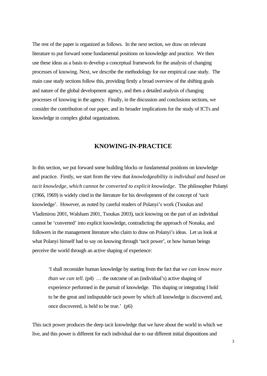The rest of the paper is organized as follows. In the next section, we draw on relevant literature to put forward some fundamental positions on knowledge and practice. We then use these ideas as a basis to develop a conceptual framework for the analysis of changing processes of knowing. Next, we describe the methodology for our empirical case study. The main case study sections follow this, providing firstly a broad overview of the shifting goals and nature of the global development agency, and then a detailed analysis of changing processes of knowing in the agency. Finally, in the discussion and conclusions sections, we consider the contribution of our paper, and its broader implications for the study of ICTs and knowledge in complex global organizations.

#### **KNOWING-IN-PRACTICE**

In this section, we put forward some building blocks or fundamental positions on knowledge and practice. Firstly, we start from the view that *knowledgeability is individual and based on tacit knowledge, which cannot be converted to explicit knowledge*. The philosopher Polanyi (1966, 1969) is widely cited in the literature for his development of the concept of 'tacit knowledge'. However, as noted by careful readers of Polanyi's work (Tsoukas and Vladimirou 2001, Walsham 2001, Tsoukas 2003), tacit knowing on the part of an individual cannot be 'converted' into explicit knowledge, contradicting the approach of Nonaka, and followers in the management literature who claim to draw on Polanyi's ideas. Let us look at what Polanyi himself had to say on knowing through 'tacit power', or how human beings perceive the world through an active shaping of experience:

'I shall reconsider human knowledge by starting from the fact that *we can know more than we can tell.* (p4) ... the outcome of an (individual's) active shaping of experience performed in the pursuit of knowledge. This shaping or integrating I hold to be the great and indisputable tacit power by which all knowledge is discovered and, once discovered, is held to be true.' (p6)

This tacit power produces the deep tacit knowledge that we have about the world in which we live, and this power is different for each individual due to our different initial dispositions and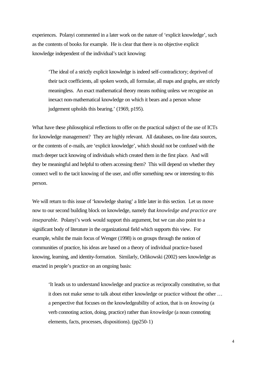experiences. Polanyi commented in a later work on the nature of 'explicit knowledge', such as the contents of books for example. He is clear that there is no objective explicit knowledge independent of the individual's tacit knowing:

'The ideal of a strictly explicit knowledge is indeed self-contradictory; deprived of their tacit coefficients, all spoken words, all formulae, all maps and graphs, are strictly meaningless. An exact mathematical theory means nothing unless we recognise an inexact non-mathematical knowledge on which it bears and a person whose judgement upholds this bearing.' (1969, p195).

What have these philosophical reflections to offer on the practical subject of the use of ICTs for knowledge management? They are highly relevant. All databases, on-line data sources, or the contents of e-mails, are 'explicit knowledge', which should not be confused with the much deeper tacit knowing of individuals which created them in the first place. And will they be meaningful and helpful to others accessing them? This will depend on whether they connect well to the tacit knowing of the user, and offer something new or interesting to this person.

We will return to this issue of 'knowledge sharing' a little later in this section. Let us move now to our second building block on knowledge, namely that *knowledge and practice are inseparable.* Polanyi's work would support this argument, but we can also point to a significant body of literature in the organizational field which supports this view. For example, whilst the main focus of Wenger (1998) is on groups through the notion of communities of practice, his ideas are based on a theory of individual practice-based knowing, learning, and identity-formation. Similarly, Orlikowski (2002) sees knowledge as enacted in people's practice on an ongoing basis:

'It leads us to understand knowledge and practice as reciprocally constitutive, so that it does not make sense to talk about either knowledge or practice without the other … a perspective that focuses on the knowledgeability of action, that is on *knowing* (a verb connoting action, doing, practice) rather than *knowledge* (a noun connoting elements, facts, processes, dispositions). (pp250-1)

4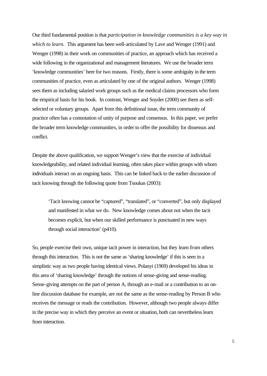Our third fundamental position is that *participation in knowledge communities is a key way in which to learn.* This argument has been well-articulated by Lave and Wenger (1991) and Wenger (1998) in their work on communities of practice, an approach which has received a wide following in the organizational and management literatures. We use the broader term 'knowledge communities' here for two reasons. Firstly, there is some ambiguity in the term communities of practice, even as articulated by one of the original authors. Wenger (1998) sees them as including salaried work groups such as the medical claims processors who form the empirical basis for his book. In contrast, Wenger and Snyder (2000) see them as selfselected or voluntary groups. Apart from this definitional issue, the term community of practice often has a connotation of unity of purpose and consensus. In this paper, we prefer the broader term knowledge communities, in order to offer the possibility for dissensus and conflict.

Despite the above qualification, we support Wenger's view that the exercise of individual knowledgeability, and related individual learning, often takes place within groups with whom individuals interact on an ongoing basis. This can be linked back to the earlier discussion of tacit knowing through the following quote from Tsoukas (2003):

'Tacit knowing cannot be "captured", "translated", or "converted", but only displayed and manifested in what we do. New knowledge comes about not when the tacit becomes explicit, but when our skilled performance is punctuated in new ways through social interaction' (p410).

So, people exercise their own, unique tacit power in interaction, but they learn from others through this interaction. This is not the same as 'sharing knowledge' if this is seen in a simplistic way as two people having identical views. Polanyi (1969) developed his ideas in this area of 'sharing knowledge' through the notions of sense-giving and sense-reading. Sense-giving attempts on the part of person A, through an e-mail or a contribution to an online discussion database for example, are not the same as the sense-reading by Person B who receives the message or reads the contribution. However, although two people always differ in the precise way in which they perceive an event or situation, both can nevertheless learn from interaction.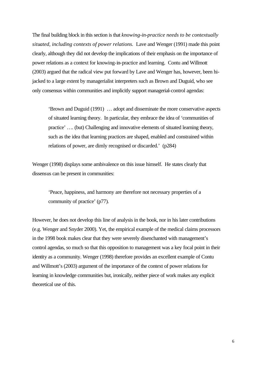The final building block in this section is that *knowing-in-practice needs to be contextually situated, including contexts of power relations.* Lave and Wenger (1991) made this point clearly, although they did not develop the implications of their emphasis on the importance of power relations as a context for knowing-in-practice and learning. Contu and Willmott (2003) argued that the radical view put forward by Lave and Wenger has, however, been hijacked to a large extent by managerialist interpreters such as Brown and Duguid, who see only consensus within communities and implicitly support managerial-control agendas:

'Brown and Duguid (1991) … adopt and disseminate the more conservative aspects of situated learning theory. In particular, they embrace the idea of 'communities of practice' …. (but) Challenging and innovative elements of situated learning theory, such as the idea that learning practices are shaped, enabled and constrained within relations of power, are dimly recognised or discarded.' (p284)

Wenger (1998) displays some ambivalence on this issue himself. He states clearly that dissensus can be present in communities:

'Peace, happiness, and harmony are therefore not necessary properties of a community of practice' (p77).

However, he does not develop this line of analysis in the book, nor in his later contributions (e.g. Wenger and Snyder 2000). Yet, the empirical example of the medical claims processors in the 1998 book makes clear that they were severely disenchanted with management's control agendas, so much so that this opposition to management was a key focal point in their identity as a community. Wenger (1998) therefore provides an excellent example of Contu and Willmott's (2003) argument of the importance of the context of power relations for learning in knowledge communities but, ironically, neither piece of work makes any explicit theoretical use of this.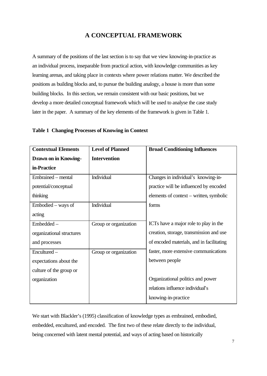### **A CONCEPTUAL FRAMEWORK**

A summary of the positions of the last section is to say that we view knowing-in-practice as an individual process, inseparable from practical action, with knowledge communities as key learning arenas, and taking place in contexts where power relations matter. We described the positions as building blocks and, to pursue the building analogy, a house is more than some building blocks. In this section, we remain consistent with our basic positions, but we develop a more detailed conceptual framework which will be used to analyse the case study later in the paper. A summary of the key elements of the framework is given in Table 1.

| <b>Contextual Elements</b>  | <b>Level of Planned</b> | <b>Broad Conditioning Influences</b>      |
|-----------------------------|-------------------------|-------------------------------------------|
| <b>Drawn on in Knowing-</b> | <b>Intervention</b>     |                                           |
| in-Practice                 |                         |                                           |
| Embrained – mental          | Individual              | Changes in individual's knowing-in-       |
| potential/conceptual        |                         | practice will be influenced by encoded    |
| thinking                    |                         | elements of context – written, symbolic   |
| Embodied – ways of          | Individual              | forms                                     |
| acting                      |                         |                                           |
| Embedded -                  | Group or organization   | ICTs have a major role to play in the     |
| organizational structures   |                         | creation, storage, transmission and use   |
| and processes               |                         | of encoded materials, and in facilitating |
| Encultured-                 | Group or organization   | faster, more extensive communications     |
| expectations about the      |                         | between people                            |
| culture of the group or     |                         |                                           |
| organization                |                         | Organizational politics and power         |
|                             |                         | relations influence individual's          |
|                             |                         | knowing-in-practice                       |

#### **Table 1 Changing Processes of Knowing in Context**

We start with Blackler's (1995) classification of knowledge types as embrained, embodied, embedded, encultured, and encoded. The first two of these relate directly to the individual, being concerned with latent mental potential, and ways of acting based on historically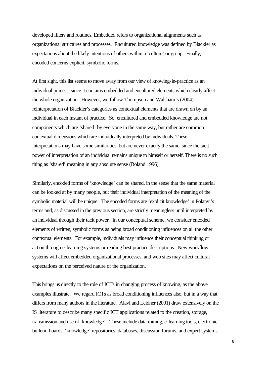developed filters and routines. Embedded refers to organizational alignments such as organizational structures and processes. Encultured knowledge was defined by Blackler as expectations about the likely intentions of others within a 'culture' or group. Finally, encoded concerns explicit, symbolic forms.

At first sight, this list seems to move away from our view of knowing-in-practice as an individual process, since it contains embedded and encultured elements which clearly affect the whole organization. However, we follow Thompson and Walsham's (2004) reinterpretation of Blackler's categories as contextual elements that are drawn on by an individual in each instant of practice. So, encultured and embedded knowledge are not components which are 'shared' by everyone in the same way, but rather are common contextual dimensions which are individually interpreted by individuals. These interpretations may have some similarities, but are never exactly the same, since the tacit power of interpretation of an individual remains unique to himself or herself. There is no such thing as 'shared' meaning in any absolute sense (Boland 1996).

Similarly, encoded forms of 'knowledge' can be shared, in the sense that the same material can be looked at by many people, but their individual interpretation of the meaning of the symbolic material will be unique. The encoded forms are 'explicit knowledge' in Polanyi's terms and, as discussed in the previous section, are strictly meaningless until interpreted by an individual through their tacit power. In our conceptual scheme, we consider encoded elements of written, symbolic forms as being broad conditioning influences on all the other contextual elements. For example, individuals may influence their conceptual thinking or action through e-learning systems or reading best practice descriptions. New workflow systems will affect embedded organizational processes, and web sites may affect cultural expectations on the perceived nature of the organization.

This brings us directly to the role of ICTs in changing process of knowing, as the above examples illustrate. We regard ICTs as broad conditioning influences also, but in a way that differs from many authors in the literature. Alavi and Leidner (2001) draw extensively on the IS literature to describe many specific ICT applications related to the creation, storage, transmission and use of 'knowledge'. These include data mining, e-learning tools, electronic bulletin boards, 'knowledge' repositories, databases, discussion forums, and expert systems.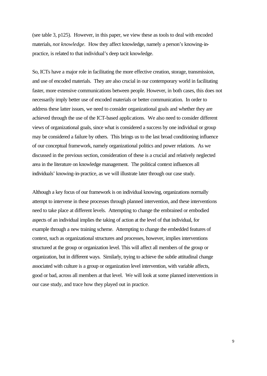(see table 3, p125). However, in this paper, we view these as tools to deal with encoded materials, *not knowledge.* How they affect knowledge, namely a person's knowing-inpractice, is related to that individual's deep tacit knowledge.

So, ICTs have a major role in facilitating the more effective creation, storage, transmission, and use of encoded materials. They are also crucial in our contemporary world in facilitating faster, more extensive communications between people. However, in both cases, this does not necessarily imply better use of encoded materials or better communication. In order to address these latter issues, we need to consider organizational goals and whether they are achieved through the use of the ICT-based applications. We also need to consider different views of organizational goals, since what is considered a success by one individual or group may be considered a failure by others. This brings us to the last broad conditioning influence of our conceptual framework, namely organizational politics and power relations. As we discussed in the previous section, consideration of these is a crucial and relatively neglected area in the literature on knowledge management. The political context influences all individuals' knowing-in-practice, as we will illustrate later through our case study.

Although a key focus of our framework is on individual knowing, organizations normally attempt to intervene in these processes through planned intervention, and these interventions need to take place at different levels. Attempting to change the embrained or embodied aspects of an individual implies the taking of action at the level of that individual, for example through a new training scheme. Attempting to change the embedded features of context, such as organizational structures and processes, however, implies interventions structured at the group or organization level. This will affect all members of the group or organization, but in different ways. Similarly, trying to achieve the subtle attitudinal change associated with culture is a group or organization level intervention, with variable affects, good or bad, across all members at that level. We will look at some planned interventions in our case study, and trace how they played out in practice.

9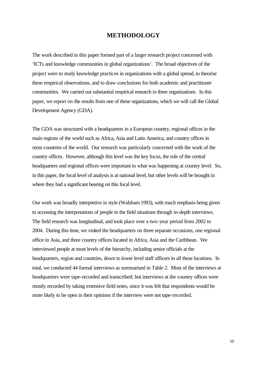#### **METHODOLOGY**

The work described in this paper formed part of a larger research project concerned with 'ICTs and knowledge communities in global organizations'. The broad objectives of the project were to study knowledge practices in organizations with a global spread, to theorise these empirical observations, and to draw conclusions for both academic and practitioner communities. We carried out substantial empirical research in three organizations. In this paper, we report on the results from one of these organizations, which we will call the Global Development Agency (GDA).

The GDA was structured with a headquarters in a European country, regional offices in the main regions of the world such as Africa, Asia and Latin America, and country offices in most countries of the world. Our research was particularly concerned with the work of the country offices. However, although this level was the key focus, the role of the central headquarters and regional offices were important to what was happening at country level. So, in this paper, the focal level of analysis is at national level, but other levels will be brought in where they had a significant bearing on this focal level.

Our work was broadly interpretive in style (Walsham 1993), with much emphasis being given to accessing the interpretations of people in the field situations through in-depth interviews. The field research was longitudinal, and took place over a two-year period from 2002 to 2004. During this time, we visited the headquarters on three separate occasions, one regional office in Asia, and three country offices located in Africa, Asia and the Caribbean. We interviewed people at most levels of the hierarchy, including senior officials at the headquarters, region and countries, down to lower level staff officers in all these locations. In total, we conducted 44 formal interviews as summarised in Table 2. Most of the interviews at headquarters were tape-recorded and transcribed; but interviews at the country offices were mostly recorded by taking extensive field notes, since it was felt that respondents would be more likely to be open in their opinions if the interview were not tape-recorded.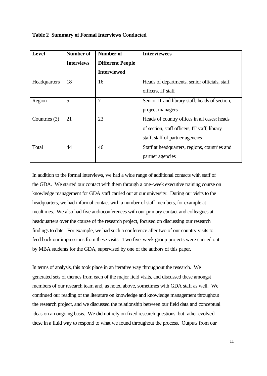|  |  |  | <b>Table 2 Summary of Formal Interviews Conducted</b> |  |
|--|--|--|-------------------------------------------------------|--|
|--|--|--|-------------------------------------------------------|--|

| Level         | <b>Number of</b>  | <b>Number of</b>        | <b>Interviewees</b>                            |
|---------------|-------------------|-------------------------|------------------------------------------------|
|               | <b>Interviews</b> | <b>Different People</b> |                                                |
|               |                   | <b>Interviewed</b>      |                                                |
| Headquarters  | 18                | 16                      | Heads of departments, senior officials, staff  |
|               |                   |                         | officers, IT staff                             |
| Region        | 5                 | 7                       | Senior IT and library staff, heads of section, |
|               |                   |                         | project managers                               |
| Countries (3) | 21                | 23                      | Heads of country offices in all cases; heads   |
|               |                   |                         | of section, staff officers, IT staff, library  |
|               |                   |                         | staff, staff of partner agencies               |
| Total         | 44                | 46                      | Staff at headquarters, regions, countries and  |
|               |                   |                         | partner agencies                               |

In addition to the formal interviews, we had a wide range of additional contacts with staff of the GDA. We started our contact with them through a one-week executive training course on knowledge management for GDA staff carried out at our university. During our visits to the headquarters, we had informal contact with a number of staff members, for example at mealtimes. We also had five audioconferences with our primary contact and colleagues at headquarters over the course of the research project, focused on discussing our research findings to date. For example, we had such a conference after two of our country visits to feed back our impressions from these visits. Two five-week group projects were carried out by MBA students for the GDA, supervised by one of the authors of this paper.

In terms of analysis, this took place in an iterative way throughout the research. We generated sets of themes from each of the major field visits, and discussed these amongst members of our research team and, as noted above, sometimes with GDA staff as well. We continued our reading of the literature on knowledge and knowledge management throughout the research project, and we discussed the relationship between our field data and conceptual ideas on an ongoing basis. We did not rely on fixed research questions, but rather evolved these in a fluid way to respond to what we found throughout the process. Outputs from our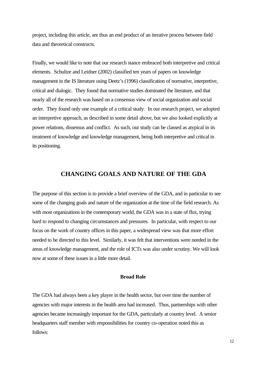project, including this article, are thus an end product of an iterative process between field data and theoretical constructs.

Finally, we would like to note that our research stance embraced both interpretive and critical elements. Schultze and Leidner (2002) classified ten years of papers on knowledge management in the IS literature using Deetz's (1996) classification of normative, interpretive, critical and dialogic. They found that normative studies dominated the literature, and that nearly all of the research was based on a consensus view of social organization and social order. They found only one example of a critical study. In our research project, we adopted an interpretive approach, as described in some detail above, but we also looked explicitly at power relations, dissensus and conflict. As such, our study can be classed as atypical in its treatment of knowledge and knowledge management, being both interpretive and critical in its positioning.

#### **CHANGING GOALS AND NATURE OF THE GDA**

The purpose of this section is to provide a brief overview of the GDA, and in particular to see some of the changing goals and nature of the organization at the time of the field research. As with most organizations in the contemporary world, the GDA was in a state of flux, trying hard to respond to changing circumstances and pressures. In particular, with respect to our focus on the work of country offices in this paper, a widespread view was that more effort needed to be directed to this level. Similarly, it was felt that interventions were needed in the areas of knowledge management, and the role of ICTs was also under scrutiny. We will look now at some of these issues in a little more detail.

#### **Broad Role**

The GDA had always been a key player in the health sector, but over time the number of agencies with major interests in the health area had increased. Thus, partnerships with other agencies became increasingly important for the GDA, particularly at country level. A senior headquarters staff member with responsibilities for country co-operation noted this as follows: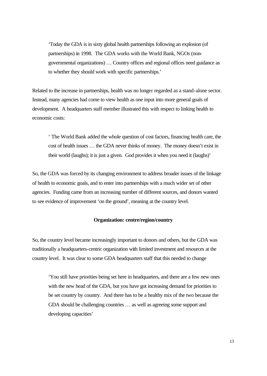'Today the GDA is in sixty global health partnerships following an explosion (of partnerships) in 1998. The GDA works with the World Bank, NGOs (nongovernmental organizations) … Country offices and regional offices need guidance as to whether they should work with specific partnerships.'

Related to the increase in partnerships, health was no longer regarded as a stand-alone sector. Instead, many agencies had come to view health as one input into more general goals of development. A headquarters staff member illustrated this with respect to linking health to economic costs:

' The World Bank added the whole question of cost factors, financing health care, the cost of health issues … the GDA never thinks of money. The money doesn't exist in their world (laughs); it is just a given. God provides it when you need it (laughs)'

So, the GDA was forced by its changing environment to address broader issues of the linkage of health to economic goals, and to enter into partnerships with a much wider set of other agencies. Funding came from an increasing number of different sources, and donors wanted to see evidence of improvement 'on the ground', meaning at the country level.

#### **Organization: centre/region/country**

So, the country level became increasingly important to donors and others, but the GDA was traditionally a headquarters-centric organization with limited investment and resources at the country level. It was clear to some GDA headquarters staff that this needed to change

'You still have priorities being set here in headquarters, and there are a few new ones with the new head of the GDA, but you have got increasing demand for priorities to be set country by country. And there has to be a healthy mix of the two because the GDA should be challenging countries … as well as agreeing some support and developing capacities'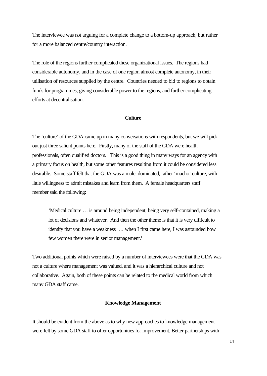The interviewee was not arguing for a complete change to a bottom-up approach, but rather for a more balanced centre/country interaction.

The role of the regions further complicated these organizational issues. The regions had considerable autonomy, and in the case of one region almost complete autonomy, in their utilisation of resources supplied by the centre. Countries needed to bid to regions to obtain funds for programmes, giving considerable power to the regions, and further complicating efforts at decentralisation.

#### **Culture**

The 'culture' of the GDA came up in many conversations with respondents, but we will pick out just three salient points here. Firstly, many of the staff of the GDA were health professionals, often qualified doctors. This is a good thing in many ways for an agency with a primary focus on health, but some other features resulting from it could be considered less desirable. Some staff felt that the GDA was a male-dominated, rather 'macho' culture, with little willingness to admit mistakes and learn from them. A female headquarters staff member said the following:

'Medical culture … is around being independent, being very self-contained, making a lot of decisions and whatever. And then the other theme is that it is very difficult to identify that you have a weakness … when I first came here, I was astounded how few women there were in senior management.'

Two additional points which were raised by a number of interviewees were that the GDA was not a culture where management was valued, and it was a hierarchical culture and not collaborative. Again, both of these points can be related to the medical world from which many GDA staff came.

#### **Knowledge Management**

It should be evident from the above as to why new approaches to knowledge management were felt by some GDA staff to offer opportunities for improvement. Better partnerships with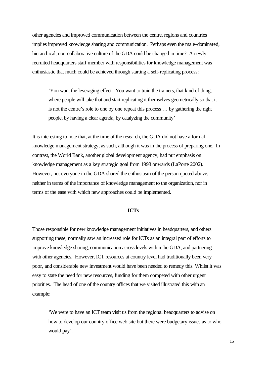other agencies and improved communication between the centre, regions and countries implies improved knowledge sharing and communication. Perhaps even the male-dominated, hierarchical, non-collaborative culture of the GDA could be changed in time? A newlyrecruited headquarters staff member with responsibilities for knowledge management was enthusiastic that much could be achieved through starting a self-replicating process:

'You want the leveraging effect. You want to train the trainers, that kind of thing, where people will take that and start replicating it themselves geometrically so that it is not the centre's role to one by one repeat this process … by gathering the right people, by having a clear agenda, by catalyzing the community'

It is interesting to note that, at the time of the research, the GDA did not have a formal knowledge management strategy, as such, although it was in the process of preparing one. In contrast, the World Bank, another global development agency, had put emphasis on knowledge management as a key strategic goal from 1998 onwards (LaPorte 2002). However, not everyone in the GDA shared the enthusiasm of the person quoted above, neither in terms of the importance of knowledge management to the organization, nor in terms of the ease with which new approaches could be implemented.

#### **ICTs**

Those responsible for new knowledge management initiatives in headquarters, and others supporting these, normally saw an increased role for ICTs as an integral part of efforts to improve knowledge sharing, communication across levels within the GDA, and partnering with other agencies. However, ICT resources at country level had traditionally been very poor, and considerable new investment would have been needed to remedy this. Whilst it was easy to state the need for new resources, funding for them competed with other urgent priorities. The head of one of the country offices that we visited illustrated this with an example:

'We were to have an ICT team visit us from the regional headquarters to advise on how to develop our country office web site but there were budgetary issues as to who would pay'.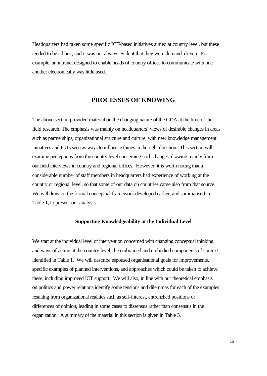Headquarters had taken some specific ICT-based initiatives aimed at country level, but these tended to be ad hoc, and it was not always evident that they were demand-driven. For example, an intranet designed to enable heads of country offices to communicate with one another electronically was little used.

#### **PROCESSES OF KNOWING**

The above section provided material on the changing nature of the GDA at the time of the field research. The emphasis was mainly on headquarters' views of desirable changes in areas such as partnerships, organizational structure and culture, with new knowledge management initiatives and ICTs seen as ways to influence things in the right direction. This section will examine perceptions from the country level concerning such changes, drawing mainly from our field interviews in country and regional offices. However, it is worth noting that a considerable number of staff members in headquarters had experience of working at the country or regional level, so that some of our data on countries came also from that source. We will draw on the formal conceptual framework developed earlier, and summarised in Table 1, to present our analysis.

#### **Supporting Knowledgeability at the Individual Level**

We start at the individual level of intervention concerned with changing conceptual thinking and ways of acting at the country level, the embrained and embodied components of context identified in Table 1. We will describe espoused organisational goals for improvements, specific examples of planned interventions, and approaches which could be taken to achieve these, including improved ICT support. We will also, in line with our theoretical emphasis on politics and power relations identify some tensions and dilemmas for each of the examples resulting from organizational realities such as self-interest, entrenched positions or differences of opinion, leading in some cases to dissensus rather than consensus in the organization. A summary of the material in this section is given in Table 3.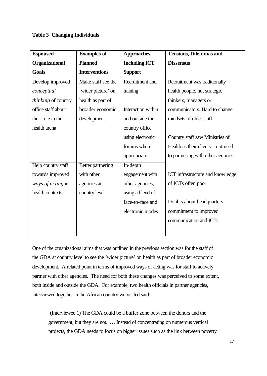#### **Table 3 Changing Individuals**

| <b>Espoused</b>     | <b>Examples of</b>   | <b>Approaches</b>    | <b>Tensions, Dilemmas and</b>      |
|---------------------|----------------------|----------------------|------------------------------------|
| Organizational      | <b>Planned</b>       | <b>Including ICT</b> | <b>Dissensus</b>                   |
| <b>Goals</b>        | <b>Interventions</b> | <b>Support</b>       |                                    |
| Develop improved    | Make staff see the   | Recruitment and      | Recruitment was traditionally      |
| conceptual          | 'wider picture' on   | training             | health people, not strategic       |
| thinking of country | health as part of    |                      | thinkers, managers or              |
| office staff about  | broader economic     | Interaction within   | communicators. Hard to change      |
| their role in the   | development          | and outside the      | mindsets of older staff.           |
| health arena        |                      | country office,      |                                    |
|                     |                      | using electronic     | Country staff saw Ministries of    |
|                     |                      | forums where         | Health as their clients – not used |
|                     |                      | appropriate          | to partnering with other agencies  |
| Help country staff  | Better partnering    | In-depth             |                                    |
| towards improved    | with other           | engagement with      | ICT infrastructure and knowledge   |
| ways of acting in   | agencies at          | other agencies,      | of ICTs often poor                 |
| health contexts     | country level        | using a blend of     |                                    |
|                     |                      | face-to-face and     | Doubts about headquarters'         |
|                     |                      | electronic modes     | commitment to improved             |
|                     |                      |                      | communication and ICTs             |
|                     |                      |                      |                                    |

One of the organizational aims that was outlined in the previous section was for the staff of the GDA at country level to see the 'wider picture' on health as part of broader economic development. A related point in terms of improved ways of acting was for staff to actively partner with other agencies. The need for both these changes was perceived to some extent, both inside and outside the GDA. For example, two health officials in partner agencies, interviewed together in the African country we visited said:

'(Interviewee 1) The GDA could be a buffer zone between the donors and the government, but they are not. … Instead of concentrating on numerous vertical projects, the GDA needs to focus on bigger issues such as the link between poverty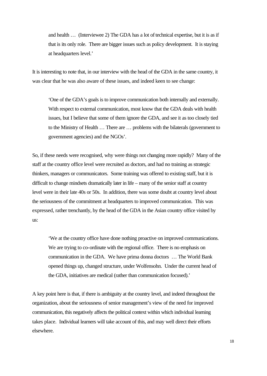and health … (Interviewee 2) The GDA has a lot of technical expertise, but it is as if that is its only role. There are bigger issues such as policy development. It is staying at headquarters level.'

It is interesting to note that, in our interview with the head of the GDA in the same country, it was clear that he was also aware of these issues, and indeed keen to see change:

'One of the GDA's goals is to improve communication both internally and externally. With respect to external communication, most know that the GDA deals with health issues, but I believe that some of them ignore the GDA, and see it as too closely tied to the Ministry of Health … There are … problems with the bilaterals (government to government agencies) and the NGOs'.

So, if these needs were recognised, why were things not changing more rapidly? Many of the staff at the country office level were recruited as doctors, and had no training as strategic thinkers, managers or communicators. Some training was offered to existing staff, but it is difficult to change mindsets dramatically later in life – many of the senior staff at country level were in their late 40s or 50s. In addition, there was some doubt at country level about the seriousness of the commitment at headquarters to improved communication. This was expressed, rather trenchantly, by the head of the GDA in the Asian country office visited by us:

'We at the country office have done nothing proactive on improved communications. We are trying to co-ordinate with the regional office. There is no emphasis on communication in the GDA. We have prima donna doctors … The World Bank opened things up, changed structure, under Wolfensohn. Under the current head of the GDA, initiatives are medical (rather than communication focused).'

A key point here is that, if there is ambiguity at the country level, and indeed throughout the organization, about the seriousness of senior management's view of the need for improved communication, this negatively affects the political context within which individual learning takes place. Individual learners will take account of this, and may well direct their efforts elsewhere.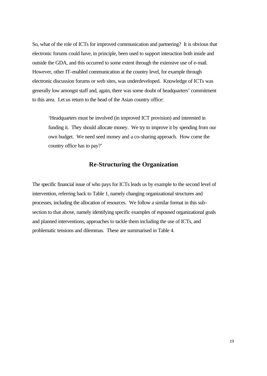So, what of the role of ICTs for improved communication and partnering? It is obvious that electronic forums could have, in principle, been used to support interaction both inside and outside the GDA, and this occurred to some extent through the extensive use of e-mail. However, other IT-enabled communication at the country level, for example through electronic discussion forums or web sites, was underdeveloped. Knowledge of ICTs was generally low amongst staff and, again, there was some doubt of headquarters' commitment to this area. Let us return to the head of the Asian country office:

'Headquarters must be involved (in improved ICT provision) and interested in funding it. They should allocate money. We try to improve it by spending from our own budget. We need seed money and a co-sharing approach. How come the country office has to pay?'

#### **Re-Structuring the Organization**

The specific financial issue of who pays for ICTs leads us by example to the second level of intervention, referring back to Table 1, namely changing organizational structures and processes, including the allocation of resources. We follow a similar format in this subsection to that above, namely identifying specific examples of espoused organizational goals and planned interventions, approaches to tackle them including the use of ICTs, and problematic tensions and dilemmas. These are summarised in Table 4.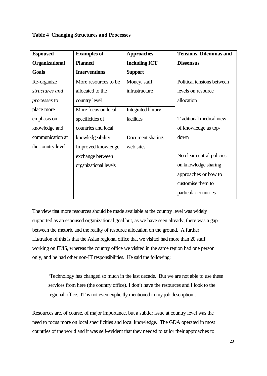#### **Table 4 Changing Structures and Processes**

| <b>Espoused</b>       | <b>Examples of</b>    | <b>Approaches</b>         | <b>Tensions, Dilemmas and</b> |
|-----------------------|-----------------------|---------------------------|-------------------------------|
| <b>Organizational</b> | <b>Planned</b>        | <b>Including ICT</b>      | <b>Dissensus</b>              |
| Goals                 | <b>Interventions</b>  | <b>Support</b>            |                               |
| Re-organize           | More resources to be. | Money, staff,             | Political tensions between    |
| structures and        | allocated to the      | infrastructure            | levels on resource            |
| processes to          | country level         |                           | allocation                    |
| place more            | More focus on local   | <b>Integrated library</b> |                               |
| emphasis on           | specificities of      | facilities                | Traditional medical view      |
| knowledge and         | countries and local   |                           | of knowledge as top-          |
| communication at      | knowledgeability      | Document sharing,         | down                          |
| the country level     | Improved knowledge    | web sites                 |                               |
|                       | exchange between      |                           | No clear central policies     |
|                       | organizational levels |                           | on knowledge sharing          |
|                       |                       |                           | approaches or how to          |
|                       |                       |                           | customise them to             |
|                       |                       |                           | particular countries          |

The view that more resources should be made available at the country level was widely supported as an espoused organizational goal but, as we have seen already, there was a gap between the rhetoric and the reality of resource allocation on the ground. A further illustration of this is that the Asian regional office that we visited had more than 20 staff working on IT/IS, whereas the country office we visited in the same region had one person only, and he had other non-IT responsibilities. He said the following:

'Technology has changed so much in the last decade. But we are not able to use these services from here (the country office). I don't have the resources and I look to the regional office. IT is not even explicitly mentioned in my job description'.

Resources are, of course, of major importance, but a subtler issue at country level was the need to focus more on local specificities and local knowledge. The GDA operated in most countries of the world and it was self-evident that they needed to tailor their approaches to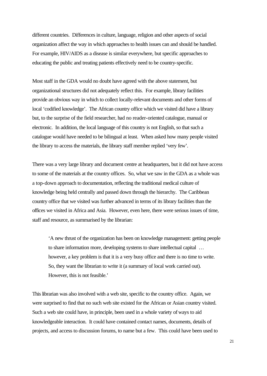different countries. Differences in culture, language, religion and other aspects of social organization affect the way in which approaches to health issues can and should be handled. For example, HIV/AIDS as a disease is similar everywhere, but specific approaches to educating the public and treating patients effectively need to be country-specific.

Most staff in the GDA would no doubt have agreed with the above statement, but organizational structures did not adequately reflect this. For example, library facilities provide an obvious way in which to collect locally-relevant documents and other forms of local 'codified knowledge'. The African country office which we visited did have a library but, to the surprise of the field researcher, had no reader-oriented catalogue, manual or electronic. In addition, the local language of this country is not English, so that such a catalogue would have needed to be bilingual at least. When asked how many people visited the library to access the materials, the library staff member replied 'very few'.

There was a very large library and document centre at headquarters, but it did not have access to some of the materials at the country offices. So, what we saw in the GDA as a whole was a top-down approach to documentation, reflecting the traditional medical culture of knowledge being held centrally and passed down through the hierarchy. The Caribbean country office that we visited was further advanced in terms of its library facilities than the offices we visited in Africa and Asia. However, even here, there were serious issues of time, staff and resource, as summarised by the librarian:

'A new thrust of the organization has been on knowledge management: getting people to share information more, developing systems to share intellectual capital … however, a key problem is that it is a very busy office and there is no time to write. So, they want the librarian to write it (a summary of local work carried out). However, this is not feasible.'

This librarian was also involved with a web site, specific to the country office. Again, we were surprised to find that no such web site existed for the African or Asian country visited. Such a web site could have, in principle, been used in a whole variety of ways to aid knowledgeable interaction. It could have contained contact names, documents, details of projects, and access to discussion forums, to name but a few. This could have been used to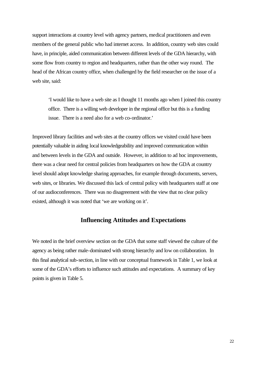support interactions at country level with agency partners, medical practitioners and even members of the general public who had internet access. In addition, country web sites could have, in principle, aided communication between different levels of the GDA hierarchy, with some flow from country to region and headquarters, rather than the other way round. The head of the African country office, when challenged by the field researcher on the issue of a web site, said:

'I would like to have a web site as I thought 11 months ago when I joined this country office. There is a willing web developer in the regional office but this is a funding issue. There is a need also for a web co-ordinator.'

Improved library facilities and web sites at the country offices we visited could have been potentially valuable in aiding local knowledgeability and improved communication within and between levels in the GDA and outside. However, in addition to ad hoc improvements, there was a clear need for central policies from headquarters on how the GDA at country level should adopt knowledge sharing approaches, for example through documents, servers, web sites, or libraries. We discussed this lack of central policy with headquarters staff at one of our audioconferences. There was no disagreement with the view that no clear policy existed, although it was noted that 'we are working on it'.

#### **Influencing Attitudes and Expectations**

We noted in the brief overview section on the GDA that some staff viewed the culture of the agency as being rather male-dominated with strong hierarchy and low on collaboration. In this final analytical sub-section, in line with our conceptual framework in Table 1, we look at some of the GDA's efforts to influence such attitudes and expectations. A summary of key points is given in Table 5.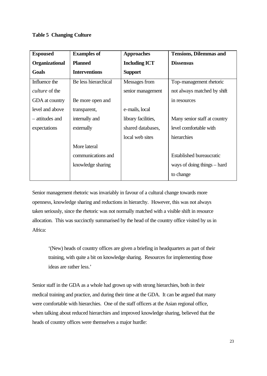#### **Table 5 Changing Culture**

| <b>Espoused</b>       | <b>Examples of</b>   | <b>Approaches</b>    | <b>Tensions, Dilemmas and</b>   |
|-----------------------|----------------------|----------------------|---------------------------------|
| <b>Organizational</b> | <b>Planned</b>       | <b>Including ICT</b> | <b>Dissensus</b>                |
| Goals                 | <b>Interventions</b> | <b>Support</b>       |                                 |
| Influence the         | Be less hierarchical | Messages from        | Top-management rhetoric         |
| <i>culture</i> of the |                      | senior management    | not always matched by shift     |
| GDA at country        | Be more open and     |                      | in resources                    |
| level and above       | transparent,         | e-mails, local       |                                 |
| - attitudes and       | internally and       | library facilities,  | Many senior staff at country    |
| expectations          | externally           | shared databases,    | level comfortable with          |
|                       |                      | local web sites      | hierarchies                     |
|                       | More lateral         |                      |                                 |
|                       | communications and   |                      | <b>Established bureaucratic</b> |
|                       | knowledge sharing    |                      | ways of doing things $-$ hard   |
|                       |                      |                      | to change                       |

Senior management rhetoric was invariably in favour of a cultural change towards more openness, knowledge sharing and reductions in hierarchy. However, this was not always taken seriously, since the rhetoric was not normally matched with a visible shift in resource allocation. This was succinctly summarised by the head of the country office visited by us in Africa:

'(New) heads of country offices are given a briefing in headquarters as part of their training, with quite a bit on knowledge sharing. Resources for implementing those ideas are rather less.'

Senior staff in the GDA as a whole had grown up with strong hierarchies, both in their medical training and practice, and during their time at the GDA. It can be argued that many were comfortable with hierarchies. One of the staff officers at the Asian regional office, when talking about reduced hierarchies and improved knowledge sharing, believed that the heads of country offices were themselves a major hurdle: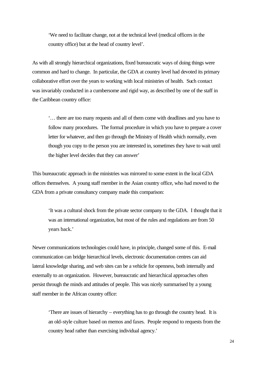'We need to facilitate change, not at the technical level (medical officers in the country office) but at the head of country level'.

As with all strongly hierarchical organizations, fixed bureaucratic ways of doing things were common and hard to change. In particular, the GDA at country level had devoted its primary collaborative effort over the years to working with local ministries of health. Such contact was invariably conducted in a cumbersome and rigid way, as described by one of the staff in the Caribbean country office:

'… there are too many requests and all of them come with deadlines and you have to follow many procedures. The formal procedure in which you have to prepare a cover letter for whatever, and then go through the Ministry of Health which normally, even though you copy to the person you are interested in, sometimes they have to wait until the higher level decides that they can answer'

This bureaucratic approach in the ministries was mirrored to some extent in the local GDA offices themselves. A young staff member in the Asian country office, who had moved to the GDA from a private consultancy company made this comparison:

'It was a cultural shock from the private sector company to the GDA. I thought that it was an international organization, but most of the rules and regulations are from 50 years back.'

Newer communications technologies could have, in principle, changed some of this. E-mail communication can bridge hierarchical levels, electronic documentation centres can aid lateral knowledge sharing, and web sites can be a vehicle for openness, both internally and externally to an organization. However, bureaucratic and hierarchical approaches often persist through the minds and attitudes of people. This was nicely summarised by a young staff member in the African country office:

'There are issues of hierarchy – everything has to go through the country head. It is an old-style culture based on memos and faxes. People respond to requests from the country head rather than exercising individual agency.'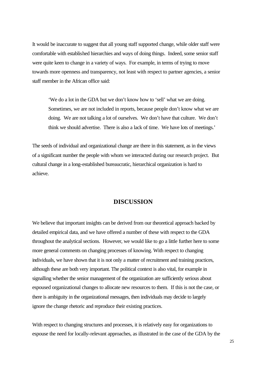It would be inaccurate to suggest that all young staff supported change, while older staff were comfortable with established hierarchies and ways of doing things. Indeed, some senior staff were quite keen to change in a variety of ways. For example, in terms of trying to move towards more openness and transparency, not least with respect to partner agencies, a senior staff member in the African office said:

'We do a lot in the GDA but we don't know how to 'sell' what we are doing. Sometimes, we are not included in reports, because people don't know what we are doing. We are not talking a lot of ourselves. We don't have that culture. We don't think we should advertise. There is also a lack of time. We have lots of meetings.'

The seeds of individual and organizational change are there in this statement, as in the views of a significant number the people with whom we interacted during our research project. But cultural change in a long-established bureaucratic, hierarchical organization is hard to achieve.

#### **DISCUSSION**

We believe that important insights can be derived from our theoretical approach backed by detailed empirical data, and we have offered a number of these with respect to the GDA throughout the analytical sections. However, we would like to go a little further here to some more general comments on changing processes of knowing. With respect to changing individuals, we have shown that it is not only a matter of recruitment and training practices, although these are both very important. The political context is also vital, for example in signalling whether the senior management of the organization are sufficiently serious about espoused organizational changes to allocate new resources to them. If this is not the case, or there is ambiguity in the organizational messages, then individuals may decide to largely ignore the change rhetoric and reproduce their existing practices.

With respect to changing structures and processes, it is relatively easy for organizations to espouse the need for locally-relevant approaches, as illustrated in the case of the GDA by the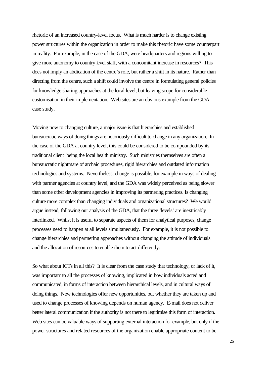rhetoric of an increased country-level focus. What is much harder is to change existing power structures within the organization in order to make this rhetoric have some counterpart in reality. For example, in the case of the GDA, were headquarters and regions willing to give more autonomy to country level staff, with a concomitant increase in resources? This does not imply an abdication of the centre's role, but rather a shift in its nature. Rather than directing from the centre, such a shift could involve the centre in formulating general policies for knowledge sharing approaches at the local level, but leaving scope for considerable customisation in their implementation. Web sites are an obvious example from the GDA case study.

Moving now to changing culture, a major issue is that hierarchies and established bureaucratic ways of doing things are notoriously difficult to change in any organization. In the case of the GDA at country level, this could be considered to be compounded by its traditional client being the local health ministry. Such ministries themselves are often a bureaucratic nightmare of archaic procedures, rigid hierarchies and outdated information technologies and systems. Nevertheless, change is possible, for example in ways of dealing with partner agencies at country level, and the GDA was widely perceived as being slower than some other development agencies in improving its partnering practices. Is changing culture more complex than changing individuals and organizational structures? We would argue instead, following our analysis of the GDA, that the three 'levels' are inextricably interlinked. Whilst it is useful to separate aspects of them for analytical purposes, change processes need to happen at all levels simultaneously. For example, it is not possible to change hierarchies and partnering approaches without changing the attitude of individuals and the allocation of resources to enable them to act differently.

So what about ICTs in all this? It is clear from the case study that technology, or lack of it, was important to all the processes of knowing, implicated in how individuals acted and communicated, in forms of interaction between hierarchical levels, and in cultural ways of doing things. New technologies offer new opportunities, but whether they are taken up and used to change processes of knowing depends on human agency. E-mail does not deliver better lateral communication if the authority is not there to legitimise this form of interaction. Web sites can be valuable ways of supporting external interaction for example, but only if the power structures and related resources of the organization enable appropriate content to be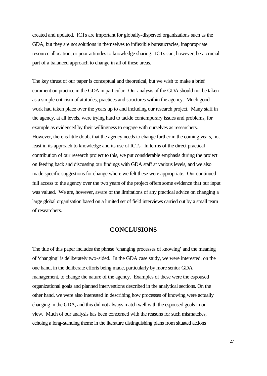created and updated. ICTs are important for globally-dispersed organizations such as the GDA, but they are not solutions in themselves to inflexible bureaucracies, inappropriate resource allocation, or poor attitudes to knowledge sharing. ICTs can, however, be a crucial part of a balanced approach to change in all of these areas.

The key thrust of our paper is conceptual and theoretical, but we wish to make a brief comment on practice in the GDA in particular. Our analysis of the GDA should not be taken as a simple criticism of attitudes, practices and structures within the agency. Much good work had taken place over the years up to and including our research project. Many staff in the agency, at all levels, were trying hard to tackle contemporary issues and problems, for example as evidenced by their willingness to engage with ourselves as researchers. However, there is little doubt that the agency needs to change further in the coming years, not least in its approach to knowledge and its use of ICTs. In terms of the direct practical contribution of our research project to this, we put considerable emphasis during the project on feeding back and discussing our findings with GDA staff at various levels, and we also made specific suggestions for change where we felt these were appropriate. Our continued full access to the agency over the two years of the project offers some evidence that our input was valued. We are, however, aware of the limitations of any practical advice on changing a large global organization based on a limited set of field interviews carried out by a small team of researchers.

#### **CONCLUSIONS**

The title of this paper includes the phrase 'changing processes of knowing' and the meaning of 'changing' is deliberately two-sided. In the GDA case study, we were interested, on the one hand, in the deliberate efforts being made, particularly by more senior GDA management, to change the nature of the agency. Examples of these were the espoused organizational goals and planned interventions described in the analytical sections. On the other hand, we were also interested in describing how processes of knowing were actually changing in the GDA, and this did not always match well with the espoused goals in our view. Much of our analysis has been concerned with the reasons for such mismatches, echoing a long-standing theme in the literature distinguishing plans from situated actions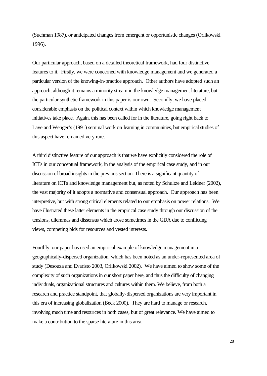(Suchman 1987), or anticipated changes from emergent or opportunistic changes (Orlikowski 1996).

Our particular approach, based on a detailed theoretical framework, had four distinctive features to it. Firstly, we were concerned with knowledge management and we generated a particular version of the knowing-in-practice approach. Other authors have adopted such an approach, although it remains a minority stream in the knowledge management literature, but the particular synthetic framework in this paper is our own. Secondly, we have placed considerable emphasis on the political context within which knowledge management initiatives take place. Again, this has been called for in the literature, going right back to Lave and Wenger's (1991) seminal work on learning in communities, but empirical studies of this aspect have remained very rare.

A third distinctive feature of our approach is that we have explicitly considered the role of ICTs in our conceptual framework, in the analysis of the empirical case study, and in our discussion of broad insights in the previous section. There is a significant quantity of literature on ICTs and knowledge management but, as noted by Schultze and Leidner (2002), the vast majority of it adopts a normative and consensual approach. Our approach has been interpretive, but with strong critical elements related to our emphasis on power relations. We have illustrated these latter elements in the empirical case study through our discussion of the tensions, dilemmas and dissensus which arose sometimes in the GDA due to conflicting views, competing bids for resources and vested interests.

Fourthly, our paper has used an empirical example of knowledge management in a geographically-dispersed organization, which has been noted as an under-represented area of study (Desouza and Evaristo 2003, Orlikowski 2002). We have aimed to show some of the complexity of such organizations in our short paper here, and thus the difficulty of changing individuals, organizational structures and cultures within them. We believe, from both a research and practice standpoint, that globally-dispersed organizations are very important in this era of increasing globalization (Beck 2000). They are hard to manage or research, involving much time and resources in both cases, but of great relevance. We have aimed to make a contribution to the sparse literature in this area.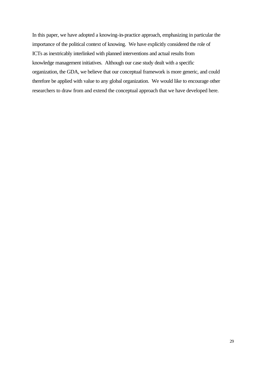In this paper, we have adopted a knowing-in-practice approach, emphasizing in particular the importance of the political context of knowing. We have explicitly considered the role of ICTs as inextricably interlinked with planned interventions and actual results from knowledge management initiatives. Although our case study dealt with a specific organization, the GDA, we believe that our conceptual framework is more generic, and could therefore be applied with value to any global organization. We would like to encourage other researchers to draw from and extend the conceptual approach that we have developed here.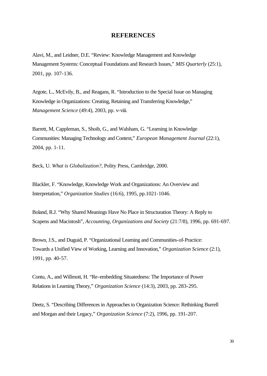#### **REFERENCES**

Alavi, M., and Leidner, D.E. "Review: Knowledge Management and Knowledge Management Systems: Conceptual Foundations and Research Issues," *MIS Quarterly* (25:1), 2001, pp. 107-136.

Argote, L., McEvily, B., and Reagans, R. "Introduction to the Special Issue on Managing Knowledge in Organizations: Creating, Retaining and Transferring Knowledge," *Management Science* (49:4), 2003, pp. v-viii.

Barrett, M, Cappleman, S., Shoib, G., and Walsham, G. "Learning in Knowledge Communities: Managing Technology and Context," *European Management Journal* (22:1), 2004, pp. 1-11.

Beck, U. *What is Globalization?*, Polity Press, Cambridge, 2000.

Blackler, F. "Knowledge, Knowledge Work and Organizations: An Overview and Interpretation," *Organization Studies* (16:6), 1995, pp.1021-1046.

Boland, R.J. "Why Shared Meanings Have No Place in Structuration Theory: A Reply to Scapens and Macintosh", *Accounting, Organizations and Society* (21:7/8), 1996, pp. 691-697.

Brown, J.S., and Duguid, P. "Organizational Learning and Communities-of-Practice: Towards a Unified View of Working, Learning and Innovation," *Organization Science* (2:1), 1991, pp. 40-57.

Contu, A., and Willmott, H. "Re-embedding Situatedness: The Importance of Power Relations in Learning Theory," *Organization Science* (14:3), 2003, pp. 283-295.

Deetz, S. "Describing Differences in Approaches to Organization Science: Rethinking Burrell and Morgan and their Legacy," *Organization Science* (7:2), 1996, pp. 191-207.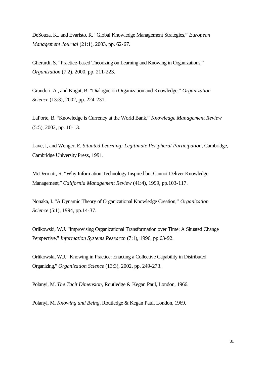DeSouza, K., and Evaristo, R. "Global Knowledge Management Strategies," *European Management Journal* (21:1), 2003, pp. 62-67.

Gherardi, S. "Practice-based Theorizing on Learning and Knowing in Organizations," *Organization* (7:2), 2000, pp. 211-223.

Grandori, A., and Kogut, B. "Dialogue on Organization and Knowledge," *Organization Science* (13:3), 2002, pp. 224-231.

LaPorte, B. "Knowledge is Currency at the World Bank," *Knowledge Management Review*  (5:5), 2002, pp. 10-13.

Lave, I, and Wenger, E. *Situated Learning: Legitimate Peripheral Participation*, Cambridge, Cambridge University Press, 1991.

McDermott, R. "Why Information Technology Inspired but Cannot Deliver Knowledge Management," *California Management Review* (41:4), 1999, pp.103-117.

Nonaka, I. "A Dynamic Theory of Organizational Knowledge Creation," *Organization Science* (5:1), 1994, pp.14-37.

Orlikowski, W.J. "Improvising Organizational Transformation over Time: A Situated Change Perspective," *Information Systems Research* (7:1), 1996, pp.63-92.

Orlikowski, W.J. "Knowing in Practice: Enacting a Collective Capability in Distributed Organizing," *Organization Science* (13:3), 2002, pp. 249-273.

Polanyi, M. *The Tacit Dimension,* Routledge & Kegan Paul, London, 1966.

Polanyi, M. *Knowing and Being,* Routledge & Kegan Paul, London, 1969.